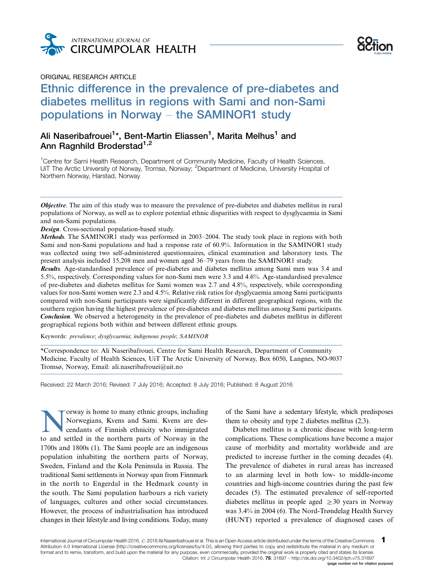



# ORIGINAL RESEARCH ARTICLE Ethnic difference in the prevalence of pre-diabetes and diabetes mellitus in regions with Sami and non-Sami populations in Norway – the SAMINOR1 study -

# Ali Naseribafrouei<sup>1</sup>\*, Bent-Martin Eliassen<sup>1</sup>, Marita Melhus<sup>1</sup> and Ann Ragnhild Broderstad<sup>1,2</sup>

<sup>1</sup>Centre for Sami Health Research, Department of Community Medicine, Faculty of Health Sciences, UiT The Arctic University of Norway, Tromsø, Norway; <sup>2</sup>Department of Medicine, University Hospital of Northern Norway, Harstad, Norway

**Objective.** The aim of this study was to measure the prevalence of pre-diabetes and diabetes mellitus in rural populations of Norway, as well as to explore potential ethnic disparities with respect to dysglycaemia in Sami and non-Sami populations.

Design. Cross-sectional population-based study.

Methods. The SAMINOR1 study was performed in 2003–2004. The study took place in regions with both Sami and non-Sami populations and had a response rate of 60.9%. Information in the SAMINOR1 study was collected using two self-administered questionnaires, clinical examination and laboratory tests. The present analysis included 15,208 men and women aged 36-79 years from the SAMINOR1 study.

Results. Age-standardised prevalence of pre-diabetes and diabetes mellitus among Sami men was 3.4 and 5.5%, respectively. Corresponding values for non-Sami men were 3.3 and 4.6%. Age-standardised prevalence of pre-diabetes and diabetes mellitus for Sami women was 2.7 and 4.8%, respectively, while corresponding values for non-Sami women were 2.3 and 4.5%. Relative risk ratios for dysglycaemia among Sami participants compared with non-Sami participants were significantly different in different geographical regions, with the southern region having the highest prevalence of pre-diabetes and diabetes mellitus among Sami participants. Conclusion. We observed a heterogeneity in the prevalence of pre-diabetes and diabetes mellitus in different geographical regions both within and between different ethnic groups.

Keywords: prevalence; dysglycaemia; indigenous people; SAMINOR

\*Correspondence to: Ali Naseribafrouei, Centre for Sami Health Research, Department of Community Medicine, Faculty of Health Sciences, UiT The Arctic University of Norway, Box 6050, Langnes, NO-9037 Tromsø, Norway, Email: ali.naseribafrouei@uit.no

Received: 22 March 2016; Revised: 7 July 2016; Accepted: 8 July 2016; Published: 8 August 2016

Norway is home to many ethnic groups, including<br>Norwegians, Kvens and Sami. Kvens are des-<br>cendants of Finnish ethnicity who immigrated<br>to and settled in the northern parts of Norway in the Norwegians, Kvens and Sami. Kvens are desto and settled in the northern parts of Norway in the 1700s and 1800s (1). The Sami people are an indigenous population inhabiting the northern parts of Norway, Sweden, Finland and the Kola Peninsula in Russia. The traditional Sami settlements in Norway span from Finnmark in the north to Engerdal in the Hedmark county in the south. The Sami population harbours a rich variety of languages, cultures and other social circumstances. However, the process of industrialisation has introduced changes in their lifestyle and living conditions. Today, many

of the Sami have a sedentary lifestyle, which predisposes them to obesity and type 2 diabetes mellitus (2,3).

Diabetes mellitus is a chronic disease with long-term complications. These complications have become a major cause of morbidity and mortality worldwide and are predicted to increase further in the coming decades (4). The prevalence of diabetes in rural areas has increased to an alarming level in both low- to middle-income countries and high-income countries during the past few decades (5). The estimated prevalence of self-reported diabetes mellitus in people aged  $\geq 30$  years in Norway was 3.4% in 2004 (6). The Nord-Trøndelag Health Survey (HUNT) reported a prevalence of diagnosed cases of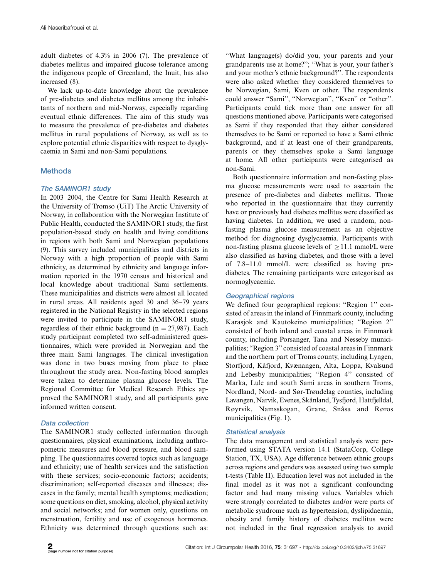adult diabetes of 4.3% in 2006 (7). The prevalence of diabetes mellitus and impaired glucose tolerance among the indigenous people of Greenland, the Inuit, has also increased (8).

We lack up-to-date knowledge about the prevalence of pre-diabetes and diabetes mellitus among the inhabitants of northern and mid-Norway, especially regarding eventual ethnic differences. The aim of this study was to measure the prevalence of pre-diabetes and diabetes mellitus in rural populations of Norway, as well as to explore potential ethnic disparities with respect to dysglycaemia in Sami and non-Sami populations.

# **Methods**

### The SAMINOR1 study

In 2003-2004, the Centre for Sami Health Research at the University of Tromso (UiT) The Arctic University of Norway, in collaboration with the Norwegian Institute of Public Health, conducted the SAMINOR1 study, the first population-based study on health and living conditions in regions with both Sami and Norwegian populations (9). This survey included municipalities and districts in Norway with a high proportion of people with Sami ethnicity, as determined by ethnicity and language information reported in the 1970 census and historical and local knowledge about traditional Sami settlements. These municipalities and districts were almost all located in rural areas. All residents aged 30 and 36-79 years registered in the National Registry in the selected regions were invited to participate in the SAMINOR1 study, regardless of their ethnic background ( $n = 27,987$ ). Each study participant completed two self-administered questionnaires, which were provided in Norwegian and the three main Sami languages. The clinical investigation was done in two buses moving from place to place throughout the study area. Non-fasting blood samples were taken to determine plasma glucose levels. The Regional Committee for Medical Research Ethics approved the SAMINOR1 study, and all participants gave informed written consent.

#### Data collection

The SAMINOR1 study collected information through questionnaires, physical examinations, including anthropometric measures and blood pressure, and blood sampling. The questionnaires covered topics such as language and ethnicity; use of health services and the satisfaction with these services; socio-economic factors; accidents; discrimination; self-reported diseases and illnesses; diseases in the family; mental health symptoms; medication; some questions on diet, smoking, alcohol, physical activity and social networks; and for women only, questions on menstruation, fertility and use of exogenous hormones. Ethnicity was determined through questions such as:

''What language(s) do/did you, your parents and your grandparents use at home?''; ''What is your, your father's and your mother's ethnic background?''. The respondents were also asked whether they considered themselves to be Norwegian, Sami, Kven or other. The respondents could answer ''Sami'', ''Norwegian'', ''Kven'' or ''other''. Participants could tick more than one answer for all questions mentioned above. Participants were categorised as Sami if they responded that they either considered themselves to be Sami or reported to have a Sami ethnic background, and if at least one of their grandparents, parents or they themselves spoke a Sami language at home. All other participants were categorised as non-Sami.

Both questionnaire information and non-fasting plasma glucose measurements were used to ascertain the presence of pre-diabetes and diabetes mellitus. Those who reported in the questionnaire that they currently have or previously had diabetes mellitus were classified as having diabetes. In addition, we used a random, nonfasting plasma glucose measurement as an objective method for diagnosing dysglycaemia. Participants with non-fasting plasma glucose levels of  $\geq$  11.1 mmol/L were also classified as having diabetes, and those with a level of 7.8-11.0 mmol/L were classified as having prediabetes. The remaining participants were categorised as normoglycaemic.

#### Geographical regions

We defined four geographical regions: "Region 1" consisted of areas in the inland of Finnmark county, including Karasjok and Kautokeino municipalities; ''Region 2'' consisted of both inland and coastal areas in Finnmark county, including Porsanger, Tana and Nesseby municipalities; ''Region 3'' consisted of coastal areas in Finnmark and the northern part of Troms county, including Lyngen, Storfjord, Kåfjord, Kvænangen, Alta, Loppa, Kvalsund and Lebesby municipalities; "Region 4" consisted of Marka, Lule and south Sami areas in southern Troms, Nordland, Nord- and Sør-Trøndelag counties, including Lavangen, Narvik, Evenes, Skånland, Tysfjord, Hattfjelldal, Røyrvik, Namsskogan, Grane, Snåsa and Røros municipalities (Fig. 1).

#### Statistical analysis

The data management and statistical analysis were performed using STATA version 14.1 (StataCorp, College Station, TX, USA). Age difference between ethnic groups across regions and genders was assessed using two sample t-tests (Table II). Education level was not included in the final model as it was not a significant confounding factor and had many missing values. Variables which were strongly correlated to diabetes and/or were parts of metabolic syndrome such as hypertension, dyslipidaemia, obesity and family history of diabetes mellitus were not included in the final regression analysis to avoid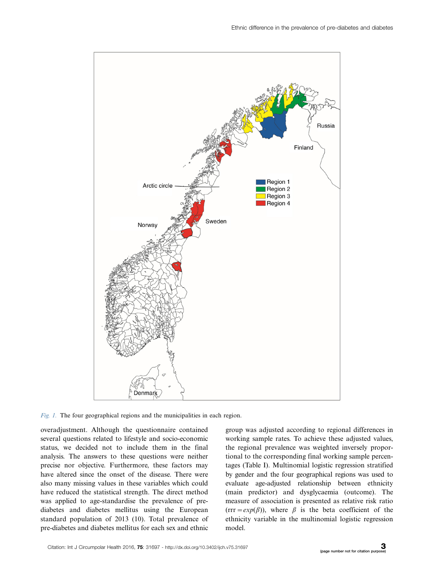

Fig. 1. The four geographical regions and the municipalities in each region.

overadjustment. Although the questionnaire contained several questions related to lifestyle and socio-economic status, we decided not to include them in the final analysis. The answers to these questions were neither precise nor objective. Furthermore, these factors may have altered since the onset of the disease. There were also many missing values in these variables which could have reduced the statistical strength. The direct method was applied to age-standardise the prevalence of prediabetes and diabetes mellitus using the European standard population of 2013 (10). Total prevalence of pre-diabetes and diabetes mellitus for each sex and ethnic

group was adjusted according to regional differences in working sample rates. To achieve these adjusted values, the regional prevalence was weighted inversely proportional to the corresponding final working sample percentages (Table I). Multinomial logistic regression stratified by gender and the four geographical regions was used to evaluate age-adjusted relationship between ethnicity (main predictor) and dysglycaemia (outcome). The measure of association is presented as relative risk ratio  $(rrr = exp(\beta))$ , where  $\beta$  is the beta coefficient of the ethnicity variable in the multinomial logistic regression model.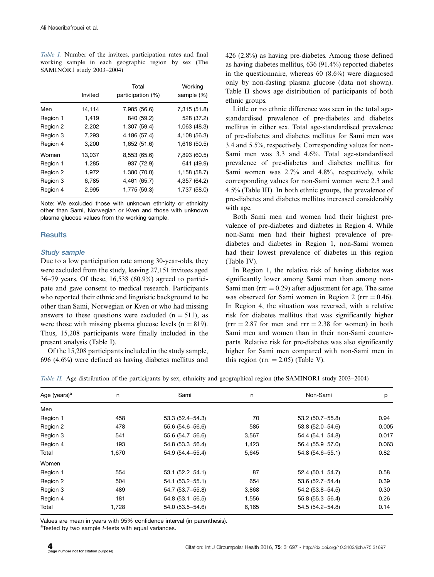Table I. Number of the invitees, participation rates and final working sample in each geographic region by sex (The SAMINOR1 study 2003-2004)

|          | Invited | Total<br>participation (%) | Working<br>sample (%) |
|----------|---------|----------------------------|-----------------------|
| Men      | 14,114  | 7,985 (56.6)               | 7,315 (51.8)          |
| Region 1 | 1.419   | 840 (59.2)                 | 528 (37.2)            |
| Region 2 | 2,202   | 1,307 (59.4)               | 1,063 (48.3)          |
| Region 3 | 7,293   | 4,186 (57.4)               | 4,108 (56.3)          |
| Region 4 | 3.200   | 1,652 (51.6)               | 1,616 (50.5)          |
| Women    | 13,037  | 8,553 (65.6)               | 7,893 (60.5)          |
| Region 1 | 1,285   | 937 (72.9)                 | 641 (49.9)            |
| Region 2 | 1.972   | 1,380 (70.0)               | 1,158 (58.7)          |
| Region 3 | 6,785   | 4,461 (65.7)               | 4,357 (64.2)          |
| Region 4 | 2.995   | 1,775 (59.3)               | 1,737 (58.0)          |

Note: We excluded those with unknown ethnicity or ethnicity other than Sami, Norwegian or Kven and those with unknown plasma glucose values from the working sample.

#### **Results**

#### Study sample

Due to a low participation rate among 30-year-olds, they were excluded from the study, leaving 27,151 invitees aged 36-79 years. Of these, 16,538 (60.9%) agreed to participate and gave consent to medical research. Participants who reported their ethnic and linguistic background to be other than Sami, Norwegian or Kven or who had missing answers to these questions were excluded  $(n = 511)$ , as were those with missing plasma glucose levels  $(n = 819)$ . Thus, 15,208 participants were finally included in the present analysis (Table I).

Of the 15,208 participants included in the study sample, 696 (4.6%) were defined as having diabetes mellitus and 426 (2.8%) as having pre-diabetes. Among those defined as having diabetes mellitus, 636 (91.4%) reported diabetes in the questionnaire, whereas 60 (8.6%) were diagnosed only by non-fasting plasma glucose (data not shown). Table II shows age distribution of participants of both ethnic groups.

Little or no ethnic difference was seen in the total agestandardised prevalence of pre-diabetes and diabetes mellitus in either sex. Total age-standardised prevalence of pre-diabetes and diabetes mellitus for Sami men was 3.4 and 5.5%, respectively. Corresponding values for non-Sami men was 3.3 and 4.6%. Total age-standardised prevalence of pre-diabetes and diabetes mellitus for Sami women was 2.7% and 4.8%, respectively, while corresponding values for non-Sami women were 2.3 and 4.5% (Table III). In both ethnic groups, the prevalence of pre-diabetes and diabetes mellitus increased considerably with age.

Both Sami men and women had their highest prevalence of pre-diabetes and diabetes in Region 4. While non-Sami men had their highest prevalence of prediabetes and diabetes in Region 1, non-Sami women had their lowest prevalence of diabetes in this region (Table IV).

In Region 1, the relative risk of having diabetes was significantly lower among Sami men than among non-Sami men ( $rr = 0.29$ ) after adjustment for age. The same was observed for Sami women in Region 2 ( $rr = 0.46$ ). In Region 4, the situation was reversed, with a relative risk for diabetes mellitus that was significantly higher  $(rrr = 2.87$  for men and  $rr = 2.38$  for women) in both Sami men and women than in their non-Sami counterparts. Relative risk for pre-diabetes was also significantly higher for Sami men compared with non-Sami men in this region (rrr = 2.05) (Table V).

Table II. Age distribution of the participants by sex, ethnicity and geographical region (the SAMINOR1 study 2003–2004)

| Age (years) $a$<br>n |       | Sami                 | n     | Non-Sami            | р     |  |
|----------------------|-------|----------------------|-------|---------------------|-------|--|
| Men                  |       |                      |       |                     |       |  |
| Region 1             | 458   | $53.3(52.4 - 54.3)$  | 70    | $53.2(50.7 - 55.8)$ | 0.94  |  |
| Region 2             | 478   | $55.6(54.6 - 56.6)$  | 585   | $53.8(52.0 - 54.6)$ | 0.005 |  |
| Region 3             | 541   | $55.6(54.7 - 56.6)$  | 3,567 | $54.4(54.1 - 54.8)$ | 0.017 |  |
| Region 4             | 193   | $54.8(53.3 - 56.4)$  | 1,423 | $56.4(55.9 - 57.0)$ | 0.063 |  |
| Total                | 1,670 | 54.9 (54.4-55.4)     | 5,645 | $54.8(54.6 - 55.1)$ | 0.82  |  |
| Women                |       |                      |       |                     |       |  |
| Region 1             | 554   | $53.1 (52.2 - 54.1)$ | 87    | $52.4(50.1 - 54.7)$ | 0.58  |  |
| Region 2             | 504   | $54.1(53.2 - 55.1)$  | 654   | $53.6(52.7 - 54.4)$ | 0.39  |  |
| Region 3             | 489   | $54.7(53.7 - 55.8)$  | 3,868 | $54.2(53.8 - 54.5)$ | 0.30  |  |
| Region 4             | 181   | $54.8(53.1 - 56.5)$  | 1,556 | $55.8(55.3 - 56.4)$ | 0.26  |  |
| Total                | 1,728 | 54.0 (53.5-54.6)     | 6,165 | $54.5(54.2 - 54.8)$ | 0.14  |  |

Values are mean in years with 95% confidence interval (in parenthesis).

<sup>a</sup>Tested by two sample t-tests with equal variances.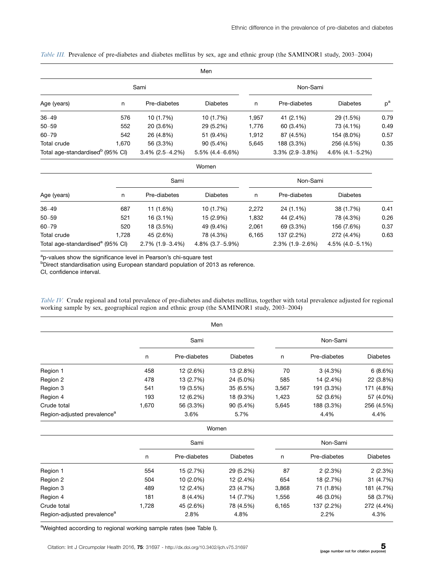|                                              |                                                                                                                |                    | Men                 |          |                    |                      |       |  |
|----------------------------------------------|----------------------------------------------------------------------------------------------------------------|--------------------|---------------------|----------|--------------------|----------------------|-------|--|
| Sami                                         |                                                                                                                |                    |                     |          | Non-Sami           |                      |       |  |
| Age (years)                                  | n                                                                                                              | Pre-diabetes       | <b>Diabetes</b>     | n        | Pre-diabetes       | <b>Diabetes</b>      | $p^a$ |  |
| $36 - 49$                                    | 576                                                                                                            | 10 (1.7%)          | 10 (1.7%)           | 1,957    | 41 (2.1%)          | 29 (1.5%)            | 0.79  |  |
| $50 - 59$                                    | 552                                                                                                            | 20 (3.6%)          | 29 (5.2%)           | 1,776    | 60 (3.4%)          | 73 (4.1%)            | 0.49  |  |
| $60 - 79$                                    | 542                                                                                                            | 26 (4.8%)          | 51 (9.4%)           | 1,912    | 87 (4.5%)          | 154 (8.0%)           | 0.57  |  |
| Total crude                                  | 1,670                                                                                                          |                    | 90 (5.4%)           | 5,645    | 188 (3.3%)         | 256 (4.5%)           | 0.35  |  |
|                                              | Total age-standardised <sup>b</sup> (95% CI)<br>$3.4\%$ (2.5–4.2%)<br>$5.5\%$ (4.4–6.6%)<br>$3.3\%$ (2.9–3.8%) |                    | 4.6% $(4.1 - 5.2%)$ |          |                    |                      |       |  |
|                                              |                                                                                                                |                    | Women               |          |                    |                      |       |  |
|                                              |                                                                                                                | Sami               |                     | Non-Sami |                    |                      |       |  |
| Age (years)                                  | n                                                                                                              | Pre-diabetes       | <b>Diabetes</b>     | n        | Pre-diabetes       | <b>Diabetes</b>      |       |  |
| $36 - 49$                                    | 687                                                                                                            | 11 (1.6%)          | 10 (1.7%)           | 2,272    | 24 (1.1%)          | 38 (1.7%)            | 0.41  |  |
| $50 - 59$                                    | 521                                                                                                            | 16 (3.1%)          | 15 (2.9%)           | 1,832    | 44 (2.4%)          | 78 (4.3%)            | 0.26  |  |
| $60 - 79$                                    | 520                                                                                                            | 18 (3.5%)          | 49 (9.4%)           | 2,061    | 69 (3.3%)          | 156 (7.6%)           | 0.37  |  |
| Total crude                                  | 1,728                                                                                                          | 45 (2.6%)          | 78 (4.3%)           | 6,165    | 137 (2.2%)         | 272 (4.4%)           | 0.63  |  |
| Total age-standardised <sup>a</sup> (95% CI) |                                                                                                                | $2.7\%$ (1.9-3.4%) | 4.8% $(3.7 - 5.9%)$ |          | $2.3\%$ (1.9-2.6%) | 4.5% $(4.0 - 5.1\%)$ |       |  |

Table III. Prevalence of pre-diabetes and diabetes mellitus by sex, age and ethnic group (the SAMINOR1 study, 2003–2004)

<sup>a</sup>p-values show the significance level in Pearson's chi-square test

<sup>b</sup>Direct standardisation using European standard population of 2013 as reference.

CI, confidence interval.

Table IV. Crude regional and total prevalence of pre-diabetes and diabetes mellitus, together with total prevalence adjusted for regional working sample by sex, geographical region and ethnic group (the SAMINOR1 study, 2003-2004)

| Men                                     |       |              |                 |       |              |                 |  |  |
|-----------------------------------------|-------|--------------|-----------------|-------|--------------|-----------------|--|--|
|                                         |       | Sami         |                 |       | Non-Sami     |                 |  |  |
|                                         | n     | Pre-diabetes | <b>Diabetes</b> | n     | Pre-diabetes | <b>Diabetes</b> |  |  |
| Region 1                                | 458   | 12 (2.6%)    | 13 (2.8%)       | 70    | 3(4.3%)      | 6(8.6%)         |  |  |
| Region 2                                | 478   | 13 (2.7%)    | 24 (5.0%)       | 585   | 14 (2.4%)    | 22 (3.8%)       |  |  |
| Region 3                                | 541   | 19 (3.5%)    | 35 (6.5%)       | 3,567 | 191 (3.3%)   | 171 (4.8%)      |  |  |
| Region 4                                | 193   | 12 (6.2%)    | 18 (9.3%)       | 1,423 | 52 (3.6%)    | 57 (4.0%)       |  |  |
| Crude total                             | 1,670 | 56 (3.3%)    | 90 (5.4%)       | 5,645 | 188 (3.3%)   | 256 (4.5%)      |  |  |
| Region-adjusted prevalence <sup>a</sup> |       | 3.6%         | 5.7%            |       | 4.4%         | 4.4%            |  |  |

| ,,,,,,,,,,                              |       |              |                 |       |              |                 |  |
|-----------------------------------------|-------|--------------|-----------------|-------|--------------|-----------------|--|
|                                         |       | Sami         |                 |       | Non-Sami     |                 |  |
|                                         | n     | Pre-diabetes | <b>Diabetes</b> | n     | Pre-diabetes | <b>Diabetes</b> |  |
| Region 1                                | 554   | 15 (2.7%)    | 29 (5.2%)       | 87    | 2(2.3%)      | 2(2.3%)         |  |
| Region 2                                | 504   | 10 (2.0%)    | 12 (2.4%)       | 654   | 18 (2.7%)    | 31 (4.7%)       |  |
| Region 3                                | 489   | 12 (2.4%)    | 23 (4.7%)       | 3,868 | 71 (1.8%)    | 181 (4.7%)      |  |
| Region 4                                | 181   | $8(4.4\%)$   | 14 (7.7%)       | 1,556 | 46 (3.0%)    | 58 (3.7%)       |  |
| Crude total                             | 1.728 | 45 (2.6%)    | 78 (4.5%)       | 6,165 | 137 (2.2%)   | 272 (4.4%)      |  |
| Region-adjusted prevalence <sup>a</sup> |       | 2.8%         | 4.8%            |       | 2.2%         | 4.3%            |  |

Women

aWeighted according to regional working sample rates (see Table I).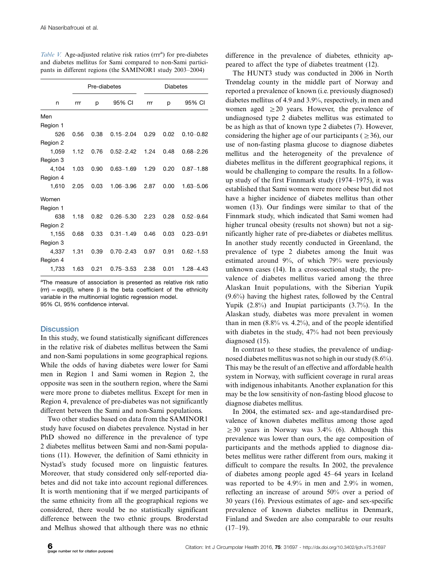|          |      | Pre-diabetes |               |      | <b>Diabetes</b> |               |  |  |
|----------|------|--------------|---------------|------|-----------------|---------------|--|--|
| n        | rrr  | p            | 95% CI        | rrr  | p               | 95% CI        |  |  |
| Men      |      |              |               |      |                 |               |  |  |
| Region 1 |      |              |               |      |                 |               |  |  |
| 526      | 0.56 | 0.38         | $0.15 - 2.04$ | 0.29 | 0.02            | $0.10 - 0.82$ |  |  |
| Region 2 |      |              |               |      |                 |               |  |  |
| 1.059    | 1.12 | 0.76         | $0.52 - 2.42$ | 1.24 | 0.48            | $0.68 - 2.26$ |  |  |
| Region 3 |      |              |               |      |                 |               |  |  |
| 4,104    | 1.03 | 0.90         | $0.63 - 1.69$ | 1.29 | 0.20            | $0.87 - 1.88$ |  |  |
| Region 4 |      |              |               |      |                 |               |  |  |
| 1.610    | 2.05 | 0.03         | 1.06-3.96     | 2.87 | 0.00            | $1.63 - 5.06$ |  |  |
| Women    |      |              |               |      |                 |               |  |  |
| Region 1 |      |              |               |      |                 |               |  |  |
| 638      | 1.18 | 0.82         | $0.26 - 5.30$ | 2.23 | 0.28            | $0.52 - 9.64$ |  |  |
| Region 2 |      |              |               |      |                 |               |  |  |
| 1,155    | 0.68 | 0.33         | $0.31 - 1.49$ | 0.46 | 0.03            | $0.23 - 0.91$ |  |  |
| Region 3 |      |              |               |      |                 |               |  |  |
| 4,337    | 1.31 | 0.39         | $0.70 - 2.43$ | 0.97 | 0.91            | $0.62 - 1.53$ |  |  |
| Region 4 |      |              |               |      |                 |               |  |  |
| 1,733    | 1.63 | 0.21         | $0.75 - 3.53$ | 2.38 | 0.01            | 1.28-4.43     |  |  |

Table V. Age-adjusted relative risk ratios  $(rrr<sup>a</sup>)$  for pre-diabetes and diabetes mellitus for Sami compared to non-Sami participants in different regions (the SAMINOR1 study 2003-2004)

<sup>a</sup>The measure of association is presented as relative risk ratio  $(rrr) = \exp(\beta)$ , where  $\beta$  is the beta coefficient of the ethnicity variable in the multinomial logistic regression model. 95% CI, 95% confidence interval.

#### **Discussion**

In this study, we found statistically significant differences in the relative risk of diabetes mellitus between the Sami and non-Sami populations in some geographical regions. While the odds of having diabetes were lower for Sami men in Region 1 and Sami women in Region 2, the opposite was seen in the southern region, where the Sami were more prone to diabetes mellitus. Except for men in Region 4, prevalence of pre-diabetes was not significantly different between the Sami and non-Sami populations.

Two other studies based on data from the SAMINOR1 study have focused on diabetes prevalence. Nystad in her PhD showed no difference in the prevalence of type 2 diabetes mellitus between Sami and non-Sami populations (11). However, the definition of Sami ethnicity in Nystad's study focused more on linguistic features. Moreover, that study considered only self-reported diabetes and did not take into account regional differences. It is worth mentioning that if we merged participants of the same ethnicity from all the geographical regions we considered, there would be no statistically significant difference between the two ethnic groups. Broderstad and Melhus showed that although there was no ethnic difference in the prevalence of diabetes, ethnicity appeared to affect the type of diabetes treatment (12).

The HUNT3 study was conducted in 2006 in North Trøndelag county in the middle part of Norway and reported a prevalence of known (i.e. previously diagnosed) diabetes mellitus of 4.9 and 3.9%, respectively, in men and women aged  $\geq 20$  years. However, the prevalence of undiagnosed type 2 diabetes mellitus was estimated to be as high as that of known type 2 diabetes (7). However, considering the higher age of our participants ( $\geq$ 36), our use of non-fasting plasma glucose to diagnose diabetes mellitus and the heterogeneity of the prevalence of diabetes mellitus in the different geographical regions, it would be challenging to compare the results. In a followup study of the first Finnmark study (1974-1975), it was established that Sami women were more obese but did not have a higher incidence of diabetes mellitus than other women (13). Our findings were similar to that of the Finnmark study, which indicated that Sami women had higher truncal obesity (results not shown) but not a significantly higher rate of pre-diabetes or diabetes mellitus. In another study recently conducted in Greenland, the prevalence of type 2 diabetes among the Inuit was estimated around 9%, of which 79% were previously unknown cases (14). In a cross-sectional study, the prevalence of diabetes mellitus varied among the three Alaskan Inuit populations, with the Siberian Yupik (9.6%) having the highest rates, followed by the Central Yupik (2.8%) and Inupiat participants (3.7%). In the Alaskan study, diabetes was more prevalent in women than in men  $(8.8\% \text{ vs. } 4.2\%)$ , and of the people identified with diabetes in the study, 47% had not been previously diagnosed (15).

In contrast to these studies, the prevalence of undiagnosed diabetes mellitus was not so high in our study (8.6%). This may be the result of an effective and affordable health system in Norway, with sufficient coverage in rural areas with indigenous inhabitants. Another explanation for this may be the low sensitivity of non-fasting blood glucose to diagnose diabetes mellitus.

In 2004, the estimated sex- and age-standardised prevalence of known diabetes mellitus among those aged  $\geq$  30 years in Norway was 3.4% (6). Although this prevalence was lower than ours, the age composition of participants and the methods applied to diagnose diabetes mellitus were rather different from ours, making it difficult to compare the results. In 2002, the prevalence of diabetes among people aged 45-64 years in Iceland was reported to be 4.9% in men and 2.9% in women, reflecting an increase of around 50% over a period of 30 years (16). Previous estimates of age- and sex-specific prevalence of known diabetes mellitus in Denmark, Finland and Sweden are also comparable to our results  $(17-19)$ .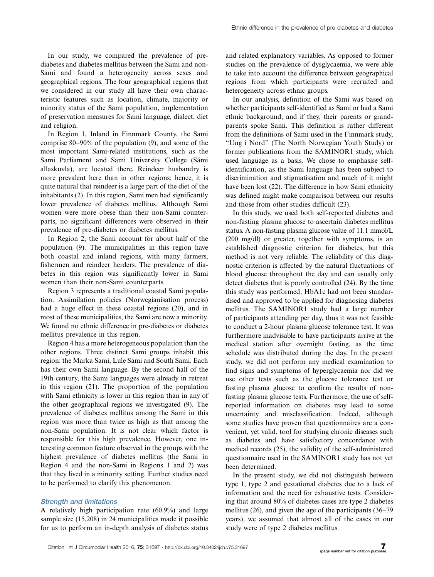In our study, we compared the prevalence of prediabetes and diabetes mellitus between the Sami and non-Sami and found a heterogeneity across sexes and geographical regions. The four geographical regions that we considered in our study all have their own characteristic features such as location, climate, majority or minority status of the Sami population, implementation of preservation measures for Sami language, dialect, diet and religion.

In Region 1, Inland in Finnmark County, the Sami comprise 80-90% of the population (9), and some of the most important Sami-related institutions, such as the Sami Parliament and Sami University College (Sámi allaskuvla), are located there. Reindeer husbandry is more prevalent here than in other regions; hence, it is quite natural that reindeer is a large part of the diet of the inhabitants (2). In this region, Sami men had significantly lower prevalence of diabetes mellitus. Although Sami women were more obese than their non-Sami counterparts, no significant differences were observed in their prevalence of pre-diabetes or diabetes mellitus.

In Region 2, the Sami account for about half of the population (9). The municipalities in this region have both coastal and inland regions, with many farmers, fishermen and reindeer herders. The prevalence of diabetes in this region was significantly lower in Sami women than their non-Sami counterparts.

Region 3 represents a traditional coastal Sami population. Assimilation policies (Norwegianisation process) had a huge effect in these coastal regions (20), and in most of these municipalities, the Sami are now a minority. We found no ethnic difference in pre-diabetes or diabetes mellitus prevalence in this region.

Region 4 has a more heterogeneous population than the other regions. Three distinct Sami groups inhabit this region: the Marka Sami, Lule Sami and South Sami. Each has their own Sami language. By the second half of the 19th century, the Sami languages were already in retreat in this region (21). The proportion of the population with Sami ethnicity is lower in this region than in any of the other geographical regions we investigated (9). The prevalence of diabetes mellitus among the Sami in this region was more than twice as high as that among the non-Sami population. It is not clear which factor is responsible for this high prevalence. However, one interesting common feature observed in the groups with the highest prevalence of diabetes mellitus (the Sami in Region 4 and the non-Sami in Regions 1 and 2) was that they lived in a minority setting. Further studies need to be performed to clarify this phenomenon.

#### Strength and limitations

A relatively high participation rate (60.9%) and large sample size (15,208) in 24 municipalities made it possible for us to perform an in-depth analysis of diabetes status and related explanatory variables. As opposed to former studies on the prevalence of dysglycaemia, we were able to take into account the difference between geographical regions from which participants were recruited and heterogeneity across ethnic groups.

In our analysis, definition of the Sami was based on whether participants self-identified as Sami or had a Sami ethnic background, and if they, their parents or grandparents spoke Sami. This definition is rather different from the definitions of Sami used in the Finnmark study, ''Ung i Nord'' (The North Norwegian Youth Study) or former publications from the SAMINOR1 study, which used language as a basis. We chose to emphasise selfidentification, as the Sami language has been subject to discrimination and stigmatisation and much of it might have been lost (22). The difference in how Sami ethnicity was defined might make comparison between our results and those from other studies difficult (23).

In this study, we used both self-reported diabetes and non-fasting plasma glucose to ascertain diabetes mellitus status. A non-fasting plasma glucose value of 11.1 mmol/L (200 mg/dl) or greater, together with symptoms, is an established diagnostic criterion for diabetes, but this method is not very reliable. The reliability of this diagnostic criterion is affected by the natural fluctuations of blood glucose throughout the day and can usually only detect diabetes that is poorly controlled (24). By the time this study was performed, HbA1c had not been standardised and approved to be applied for diagnosing diabetes mellitus. The SAMINOR1 study had a large number of participants attending per day, thus it was not feasible to conduct a 2-hour plasma glucose tolerance test. It was furthermore inadvisable to have participants arrive at the medical station after overnight fasting, as the time schedule was distributed during the day. In the present study, we did not perform any medical examination to find signs and symptoms of hyperglycaemia nor did we use other tests such as the glucose tolerance test or fasting plasma glucose to confirm the results of nonfasting plasma glucose tests. Furthermore, the use of selfreported information on diabetes may lead to some uncertainty and misclassification. Indeed, although some studies have proven that questionnaires are a convenient, yet valid, tool for studying chronic diseases such as diabetes and have satisfactory concordance with medical records (25), the validity of the self-administered questionnaire used in the SAMINOR1 study has not yet been determined.

In the present study, we did not distinguish between type 1, type 2 and gestational diabetes due to a lack of information and the need for exhaustive tests. Considering that around 80% of diabetes cases are type 2 diabetes mellitus (26), and given the age of the participants (36-79 years), we assumed that almost all of the cases in our study were of type 2 diabetes mellitus.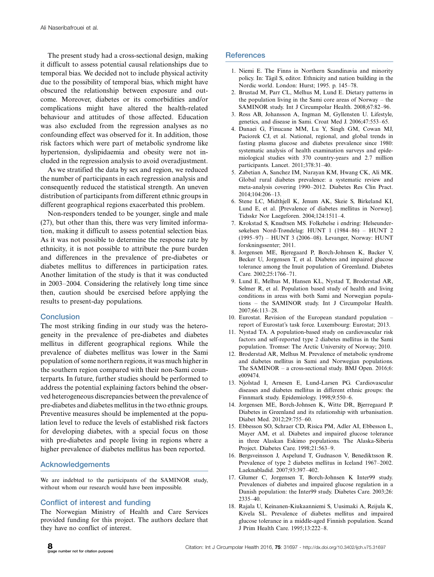The present study had a cross-sectional design, making it difficult to assess potential causal relationships due to temporal bias. We decided not to include physical activity due to the possibility of temporal bias, which might have obscured the relationship between exposure and outcome. Moreover, diabetes or its comorbidities and/or complications might have altered the health-related behaviour and attitudes of those affected. Education was also excluded from the regression analyses as no confounding effect was observed for it. In addition, those risk factors which were part of metabolic syndrome like hypertension, dyslipidaemia and obesity were not included in the regression analysis to avoid overadjustment.

As we stratified the data by sex and region, we reduced the number of participants in each regression analysis and consequently reduced the statistical strength. An uneven distribution of participants from different ethnic groups in different geographical regions exacerbated this problem.

Non-responders tended to be younger, single and male (27), but other than this, there was very limited information, making it difficult to assess potential selection bias. As it was not possible to determine the response rate by ethnicity, it is not possible to attribute the pure burden and differences in the prevalence of pre-diabetes or diabetes mellitus to differences in participation rates. Another limitation of the study is that it was conducted in 2003-2004. Considering the relatively long time since then, caution should be exercised before applying the results to present-day populations.

#### **Conclusion**

The most striking finding in our study was the heterogeneity in the prevalence of pre-diabetes and diabetes mellitus in different geographical regions. While the prevalence of diabetes mellitus was lower in the Sami population of some northern regions, it was much higher in the southern region compared with their non-Sami counterparts. In future, further studies should be performed to address the potential explaining factors behind the observed heterogeneous discrepancies between the prevalence of pre-diabetes and diabetes mellitus in the two ethnic groups. Preventive measures should be implemented at the population level to reduce the levels of established risk factors for developing diabetes, with a special focus on those with pre-diabetes and people living in regions where a higher prevalence of diabetes mellitus has been reported.

# Acknowledgements

We are indebted to the participants of the SAMINOR study, without whom our research would have been impossible.

# Conflict of interest and funding

The Norwegian Ministry of Health and Care Services provided funding for this project. The authors declare that they have no conflict of interest.

#### **References**

- 1. Niemi E. The Finns in Northern Scandinavia and minority policy. In: Tägil S, editor. Ethnicity and nation building in the Nordic world. London: Hurst; 1995. p. 145-78.
- 2. Brustad M, Parr CL, Melhus M, Lund E. Dietary patterns in the population living in the Sami core areas of Norway - the SAMINOR study. Int J Circumpolar Health. 2008;67:82-96.
- 3. Ross AB, Johansson A, Ingman M, Gyllensten U. Lifestyle, genetics, and disease in Sami. Croat Med J. 2006;47:553-65.
- 4. Danaei G, Finucane MM, Lu Y, Singh GM, Cowan MJ, Paciorek CJ, et al. National, regional, and global trends in fasting plasma glucose and diabetes prevalence since 1980: systematic analysis of health examination surveys and epidemiological studies with 370 country-years and 2.7 million participants. Lancet. 2011;378:31-40.
- 5. Zabetian A, Sanchez IM, Narayan KM, Hwang CK, Ali MK. Global rural diabetes prevalence: a systematic review and meta-analysis covering 1990-2012. Diabetes Res Clin Pract. 2014;104:206-13.
- 6. Stene LC, Midthjell K, Jenum AK, Skeie S, Birkeland KI, Lund E, et al. [Prevalence of diabetes mellitus in Norway]. Tidsskr Nor Laegeforen. 2004;124:1511-4.
- 7. Krokstad S, Knudtsen MS. Folkehelse i endring: Helseundersøkelsen Nord-Trøndelag: HUNT 1 (1984-86) - HUNT 2 (1995-97) - HUNT 3 (2006-08). Levanger, Norway: HUNT forskningssenter; 2011.
- 8. Jorgensen ME, Bjeregaard P, Borch-Johnsen K, Backer V, Becker U, Jorgensen T, et al. Diabetes and impaired glucose tolerance among the Inuit population of Greenland. Diabetes Care. 2002;25:1766-71.
- 9. Lund E, Melhus M, Hansen KL, Nystad T, Broderstad AR, Selmer R, et al. Population based study of health and living conditions in areas with both Sami and Norwegian populations - the SAMINOR study. Int J Circumpolar Health. 2007;66:113-28.
- 10. Eurostat. Revision of the European standard population report of Eurostat's task force. Luxembourg: Eurostat; 2013.
- 11. Nystad TA. A population-based study on cardiovascular risk factors and self-reported type 2 diabetes mellitus in the Sami population. Tromsø: The Arctic University of Norway; 2010.
- 12. Broderstad AR, Melhus M. Prevalence of metabolic syndrome and diabetes mellitus in Sami and Norwegian populations. The SAMINOR - a cross-sectional study. BMJ Open. 2016;6: e009474.
- 13. Njolstad I, Arnesen E, Lund-Larsen PG. Cardiovascular diseases and diabetes mellitus in different ethnic groups: the Finnmark study. Epidemiology. 1998;9:550-6.
- 14. Jorgensen ME, Borch-Johnsen K, Witte DR, Bjerregaard P. Diabetes in Greenland and its relationship with urbanisation. Diabet Med. 2012;29:755-60.
- 15. Ebbesson SO, Schraer CD, Risica PM, Adler AI, Ebbesson L, Mayer AM, et al. Diabetes and impaired glucose tolerance in three Alaskan Eskimo populations. The Alaska-Siberia Project. Diabetes Care. 1998;21:563-9.
- 16. Bergsveinsson J, Aspelund T, Gudnason V, Benediktsson R. Prevalence of type 2 diabetes mellitus in Iceland 1967-2002. Laeknabladid. 2007;93:397-402.
- 17. Glumer C, Jorgensen T, Borch-Johnsen K Inter99 study. Prevalences of diabetes and impaired glucose regulation in a Danish population: the Inter99 study. Diabetes Care. 2003;26: 2335-40.
- 18. Rajala U, Keinanen-Kiukaanniemi S, Uusimaki A, Reijula K, Kivela SL. Prevalence of diabetes mellitus and impaired glucose tolerance in a middle-aged Finnish population. Scand J Prim Health Care. 1995;13:222-8.